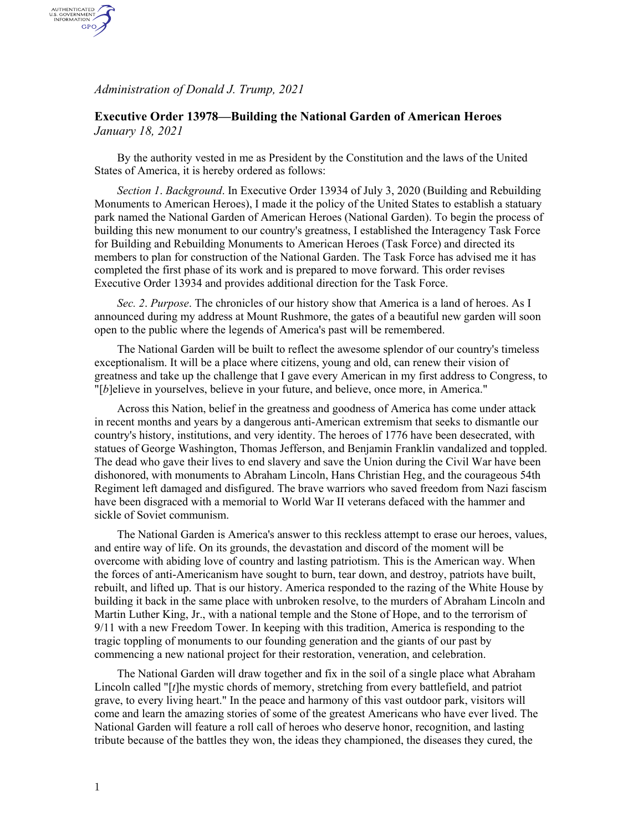*Administration of Donald J. Trump, 2021*

AUTHENTICATED<br>U.S. GOVERNMENT<br>INFORMATION GPO

## **Executive Order 13978—Building the National Garden of American Heroes** *January 18, 2021*

By the authority vested in me as President by the Constitution and the laws of the United States of America, it is hereby ordered as follows:

*Section 1*. *Background*. In Executive Order 13934 of July 3, 2020 (Building and Rebuilding Monuments to American Heroes), I made it the policy of the United States to establish a statuary park named the National Garden of American Heroes (National Garden). To begin the process of building this new monument to our country's greatness, I established the Interagency Task Force for Building and Rebuilding Monuments to American Heroes (Task Force) and directed its members to plan for construction of the National Garden. The Task Force has advised me it has completed the first phase of its work and is prepared to move forward. This order revises Executive Order 13934 and provides additional direction for the Task Force.

*Sec. 2*. *Purpose*. The chronicles of our history show that America is a land of heroes. As I announced during my address at Mount Rushmore, the gates of a beautiful new garden will soon open to the public where the legends of America's past will be remembered.

The National Garden will be built to reflect the awesome splendor of our country's timeless exceptionalism. It will be a place where citizens, young and old, can renew their vision of greatness and take up the challenge that I gave every American in my first address to Congress, to "[*b*]elieve in yourselves, believe in your future, and believe, once more, in America."

Across this Nation, belief in the greatness and goodness of America has come under attack in recent months and years by a dangerous anti-American extremism that seeks to dismantle our country's history, institutions, and very identity. The heroes of 1776 have been desecrated, with statues of George Washington, Thomas Jefferson, and Benjamin Franklin vandalized and toppled. The dead who gave their lives to end slavery and save the Union during the Civil War have been dishonored, with monuments to Abraham Lincoln, Hans Christian Heg, and the courageous 54th Regiment left damaged and disfigured. The brave warriors who saved freedom from Nazi fascism have been disgraced with a memorial to World War II veterans defaced with the hammer and sickle of Soviet communism.

The National Garden is America's answer to this reckless attempt to erase our heroes, values, and entire way of life. On its grounds, the devastation and discord of the moment will be overcome with abiding love of country and lasting patriotism. This is the American way. When the forces of anti-Americanism have sought to burn, tear down, and destroy, patriots have built, rebuilt, and lifted up. That is our history. America responded to the razing of the White House by building it back in the same place with unbroken resolve, to the murders of Abraham Lincoln and Martin Luther King, Jr., with a national temple and the Stone of Hope, and to the terrorism of 9/11 with a new Freedom Tower. In keeping with this tradition, America is responding to the tragic toppling of monuments to our founding generation and the giants of our past by commencing a new national project for their restoration, veneration, and celebration.

The National Garden will draw together and fix in the soil of a single place what Abraham Lincoln called "[*t*]he mystic chords of memory, stretching from every battlefield, and patriot grave, to every living heart." In the peace and harmony of this vast outdoor park, visitors will come and learn the amazing stories of some of the greatest Americans who have ever lived. The National Garden will feature a roll call of heroes who deserve honor, recognition, and lasting tribute because of the battles they won, the ideas they championed, the diseases they cured, the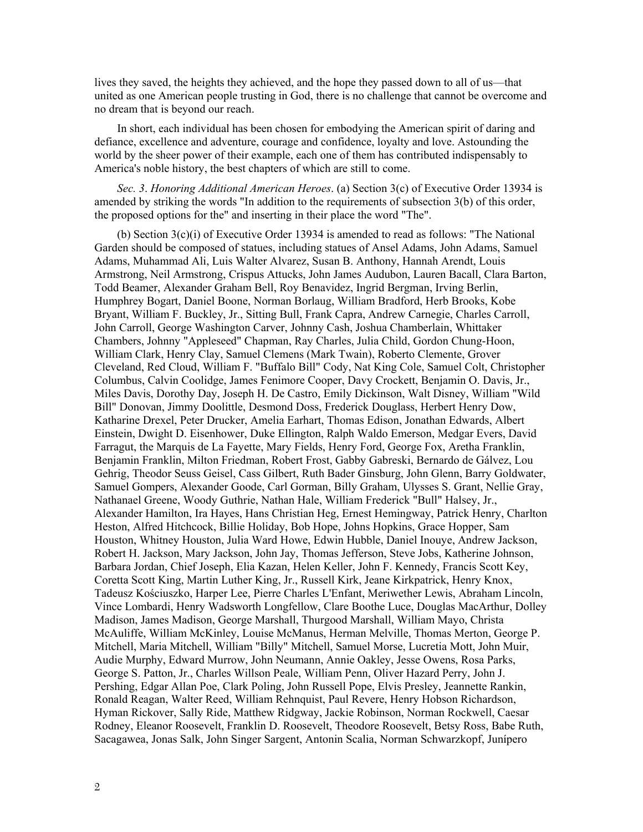lives they saved, the heights they achieved, and the hope they passed down to all of us—that united as one American people trusting in God, there is no challenge that cannot be overcome and no dream that is beyond our reach.

In short, each individual has been chosen for embodying the American spirit of daring and defiance, excellence and adventure, courage and confidence, loyalty and love. Astounding the world by the sheer power of their example, each one of them has contributed indispensably to America's noble history, the best chapters of which are still to come.

*Sec. 3*. *Honoring Additional American Heroes*. (a) Section 3(c) of Executive Order 13934 is amended by striking the words "In addition to the requirements of subsection 3(b) of this order, the proposed options for the" and inserting in their place the word "The".

(b) Section 3(c)(i) of Executive Order 13934 is amended to read as follows: "The National Garden should be composed of statues, including statues of Ansel Adams, John Adams, Samuel Adams, Muhammad Ali, Luis Walter Alvarez, Susan B. Anthony, Hannah Arendt, Louis Armstrong, Neil Armstrong, Crispus Attucks, John James Audubon, Lauren Bacall, Clara Barton, Todd Beamer, Alexander Graham Bell, Roy Benavidez, Ingrid Bergman, Irving Berlin, Humphrey Bogart, Daniel Boone, Norman Borlaug, William Bradford, Herb Brooks, Kobe Bryant, William F. Buckley, Jr., Sitting Bull, Frank Capra, Andrew Carnegie, Charles Carroll, John Carroll, George Washington Carver, Johnny Cash, Joshua Chamberlain, Whittaker Chambers, Johnny "Appleseed" Chapman, Ray Charles, Julia Child, Gordon Chung-Hoon, William Clark, Henry Clay, Samuel Clemens (Mark Twain), Roberto Clemente, Grover Cleveland, Red Cloud, William F. "Buffalo Bill" Cody, Nat King Cole, Samuel Colt, Christopher Columbus, Calvin Coolidge, James Fenimore Cooper, Davy Crockett, Benjamin O. Davis, Jr., Miles Davis, Dorothy Day, Joseph H. De Castro, Emily Dickinson, Walt Disney, William "Wild Bill" Donovan, Jimmy Doolittle, Desmond Doss, Frederick Douglass, Herbert Henry Dow, Katharine Drexel, Peter Drucker, Amelia Earhart, Thomas Edison, Jonathan Edwards, Albert Einstein, Dwight D. Eisenhower, Duke Ellington, Ralph Waldo Emerson, Medgar Evers, David Farragut, the Marquis de La Fayette, Mary Fields, Henry Ford, George Fox, Aretha Franklin, Benjamin Franklin, Milton Friedman, Robert Frost, Gabby Gabreski, Bernardo de Gálvez, Lou Gehrig, Theodor Seuss Geisel, Cass Gilbert, Ruth Bader Ginsburg, John Glenn, Barry Goldwater, Samuel Gompers, Alexander Goode, Carl Gorman, Billy Graham, Ulysses S. Grant, Nellie Gray, Nathanael Greene, Woody Guthrie, Nathan Hale, William Frederick "Bull" Halsey, Jr., Alexander Hamilton, Ira Hayes, Hans Christian Heg, Ernest Hemingway, Patrick Henry, Charlton Heston, Alfred Hitchcock, Billie Holiday, Bob Hope, Johns Hopkins, Grace Hopper, Sam Houston, Whitney Houston, Julia Ward Howe, Edwin Hubble, Daniel Inouye, Andrew Jackson, Robert H. Jackson, Mary Jackson, John Jay, Thomas Jefferson, Steve Jobs, Katherine Johnson, Barbara Jordan, Chief Joseph, Elia Kazan, Helen Keller, John F. Kennedy, Francis Scott Key, Coretta Scott King, Martin Luther King, Jr., Russell Kirk, Jeane Kirkpatrick, Henry Knox, Tadeusz Kościuszko, Harper Lee, Pierre Charles L'Enfant, Meriwether Lewis, Abraham Lincoln, Vince Lombardi, Henry Wadsworth Longfellow, Clare Boothe Luce, Douglas MacArthur, Dolley Madison, James Madison, George Marshall, Thurgood Marshall, William Mayo, Christa McAuliffe, William McKinley, Louise McManus, Herman Melville, Thomas Merton, George P. Mitchell, Maria Mitchell, William "Billy" Mitchell, Samuel Morse, Lucretia Mott, John Muir, Audie Murphy, Edward Murrow, John Neumann, Annie Oakley, Jesse Owens, Rosa Parks, George S. Patton, Jr., Charles Willson Peale, William Penn, Oliver Hazard Perry, John J. Pershing, Edgar Allan Poe, Clark Poling, John Russell Pope, Elvis Presley, Jeannette Rankin, Ronald Reagan, Walter Reed, William Rehnquist, Paul Revere, Henry Hobson Richardson, Hyman Rickover, Sally Ride, Matthew Ridgway, Jackie Robinson, Norman Rockwell, Caesar Rodney, Eleanor Roosevelt, Franklin D. Roosevelt, Theodore Roosevelt, Betsy Ross, Babe Ruth, Sacagawea, Jonas Salk, John Singer Sargent, Antonin Scalia, Norman Schwarzkopf, Junípero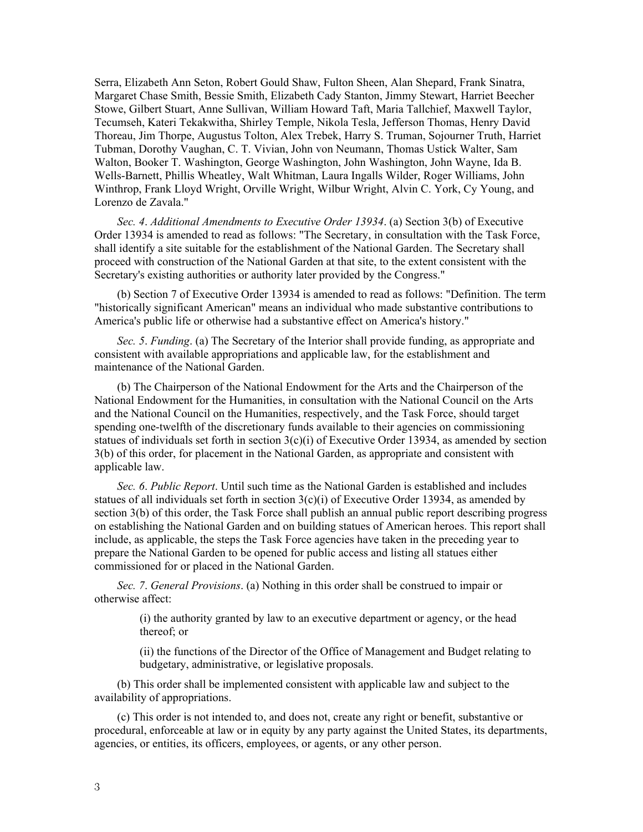Serra, Elizabeth Ann Seton, Robert Gould Shaw, Fulton Sheen, Alan Shepard, Frank Sinatra, Margaret Chase Smith, Bessie Smith, Elizabeth Cady Stanton, Jimmy Stewart, Harriet Beecher Stowe, Gilbert Stuart, Anne Sullivan, William Howard Taft, Maria Tallchief, Maxwell Taylor, Tecumseh, Kateri Tekakwitha, Shirley Temple, Nikola Tesla, Jefferson Thomas, Henry David Thoreau, Jim Thorpe, Augustus Tolton, Alex Trebek, Harry S. Truman, Sojourner Truth, Harriet Tubman, Dorothy Vaughan, C. T. Vivian, John von Neumann, Thomas Ustick Walter, Sam Walton, Booker T. Washington, George Washington, John Washington, John Wayne, Ida B. Wells-Barnett, Phillis Wheatley, Walt Whitman, Laura Ingalls Wilder, Roger Williams, John Winthrop, Frank Lloyd Wright, Orville Wright, Wilbur Wright, Alvin C. York, Cy Young, and Lorenzo de Zavala."

*Sec. 4*. *Additional Amendments to Executive Order 13934*. (a) Section 3(b) of Executive Order 13934 is amended to read as follows: "The Secretary, in consultation with the Task Force, shall identify a site suitable for the establishment of the National Garden. The Secretary shall proceed with construction of the National Garden at that site, to the extent consistent with the Secretary's existing authorities or authority later provided by the Congress."

(b) Section 7 of Executive Order 13934 is amended to read as follows: "Definition. The term "historically significant American" means an individual who made substantive contributions to America's public life or otherwise had a substantive effect on America's history."

*Sec. 5*. *Funding*. (a) The Secretary of the Interior shall provide funding, as appropriate and consistent with available appropriations and applicable law, for the establishment and maintenance of the National Garden.

(b) The Chairperson of the National Endowment for the Arts and the Chairperson of the National Endowment for the Humanities, in consultation with the National Council on the Arts and the National Council on the Humanities, respectively, and the Task Force, should target spending one-twelfth of the discretionary funds available to their agencies on commissioning statues of individuals set forth in section  $3(c)(i)$  of Executive Order 13934, as amended by section 3(b) of this order, for placement in the National Garden, as appropriate and consistent with applicable law.

*Sec. 6*. *Public Report*. Until such time as the National Garden is established and includes statues of all individuals set forth in section 3(c)(i) of Executive Order 13934, as amended by section 3(b) of this order, the Task Force shall publish an annual public report describing progress on establishing the National Garden and on building statues of American heroes. This report shall include, as applicable, the steps the Task Force agencies have taken in the preceding year to prepare the National Garden to be opened for public access and listing all statues either commissioned for or placed in the National Garden.

*Sec. 7*. *General Provisions*. (a) Nothing in this order shall be construed to impair or otherwise affect:

> (i) the authority granted by law to an executive department or agency, or the head thereof; or

(ii) the functions of the Director of the Office of Management and Budget relating to budgetary, administrative, or legislative proposals.

(b) This order shall be implemented consistent with applicable law and subject to the availability of appropriations.

(c) This order is not intended to, and does not, create any right or benefit, substantive or procedural, enforceable at law or in equity by any party against the United States, its departments, agencies, or entities, its officers, employees, or agents, or any other person.